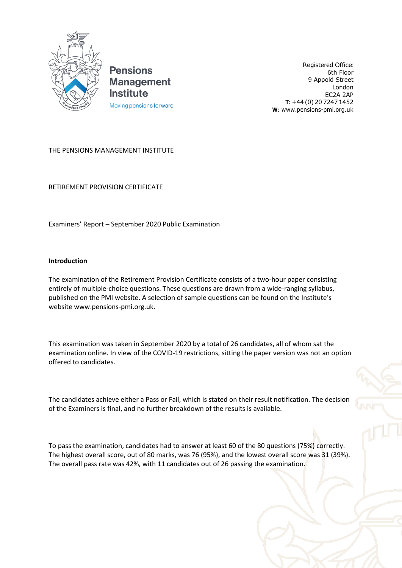

**Pensions Management Institute** Moving pensions forward

Registered Office: 6th Floor 9 Appold Street London EC2A 2AP **T:** +44 (0) 20 7247 1452 **W:** [www.pensions-pmi.org.uk](http://www.pensions-pmi.org.uk/)

## THE PENSIONS MANAGEMENT INSTITUTE

RETIREMENT PROVISION CERTIFICATE

Examiners' Report – September 2020 Public Examination

## **Introduction**

The examination of the Retirement Provision Certificate consists of a two-hour paper consisting entirely of multiple-choice questions. These questions are drawn from a wide-ranging syllabus, published on the PMI website. A selection of sample questions can be found on the Institute's websit[e www.pensions-pmi.org.uk.](http://www.pensions-pmi.org.uk/)

This examination was taken in September 2020 by a total of 26 candidates, all of whom sat the examination online. In view of the COVID-19 restrictions, sitting the paper version was not an option offered to candidates.

The candidates achieve either a Pass or Fail, which is stated on their result notification. The decision of the Examiners is final, and no further breakdown of the results is available.

To pass the examination, candidates had to answer at least 60 of the 80 questions (75%) correctly. The highest overall score, out of 80 marks, was 76 (95%), and the lowest overall score was 31 (39%). The overall pass rate was 42%, with 11 candidates out of 26 passing the examination.